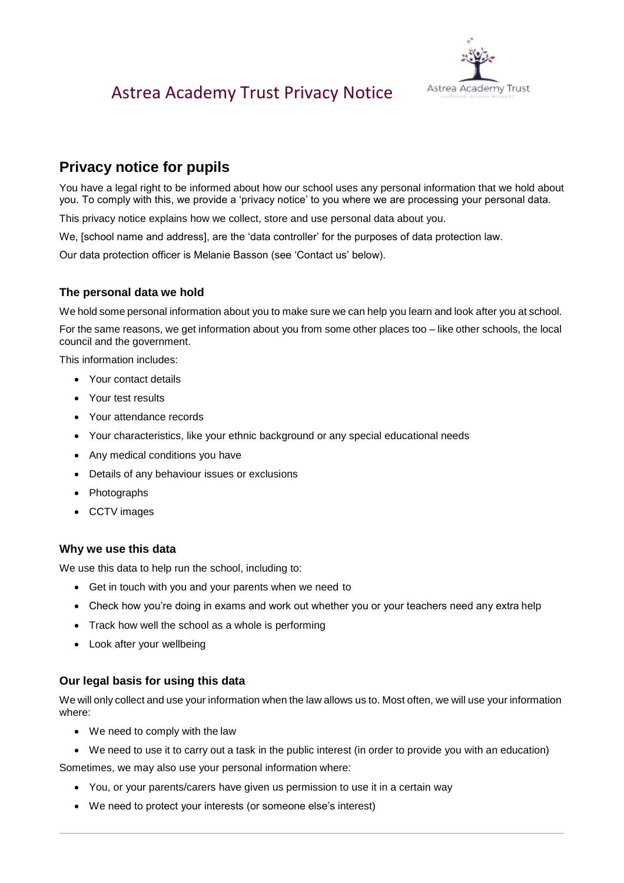

## **Privacy notice for pupils**

You have a legal right to be informed about how our school uses any personal information that we hold about you. To comply with this, we provide a 'privacy notice' to you where we are processing your personal data.

This privacy notice explains how we collect, store and use personal data about you.

We, [school name and address], are the 'data controller' for the purposes of data protection law.

Our data protection officer is Melanie Basson (see 'Contact us' below).

### **The personal data we hold**

We hold some personal information about you to make sure we can help you learn and look after you at school.

For the same reasons, we get information about you from some other places too – like other schools, the local council and the government.

This information includes:

- Your contact details
- Your test results
- Your attendance records
- Your characteristics, like your ethnic background or any special educational needs
- Any medical conditions you have
- Details of any behaviour issues or exclusions
- Photographs
- CCTV images

#### **Why we use this data**

We use this data to help run the school, including to:

- Get in touch with you and your parents when we need to
- Check how you're doing in exams and work out whether you or your teachers need any extra help
- Track how well the school as a whole is performing
- Look after your wellbeing

#### **Our legal basis for using this data**

We will only collect and use your information when the law allows us to. Most often, we will use your information where:

- We need to comply with the law
- We need to use it to carry out a task in the public interest (in order to provide you with an education)

Sometimes, we may also use your personal information where:

- You, or your parents/carers have given us permission to use it in a certain way
- We need to protect your interests (or someone else's interest)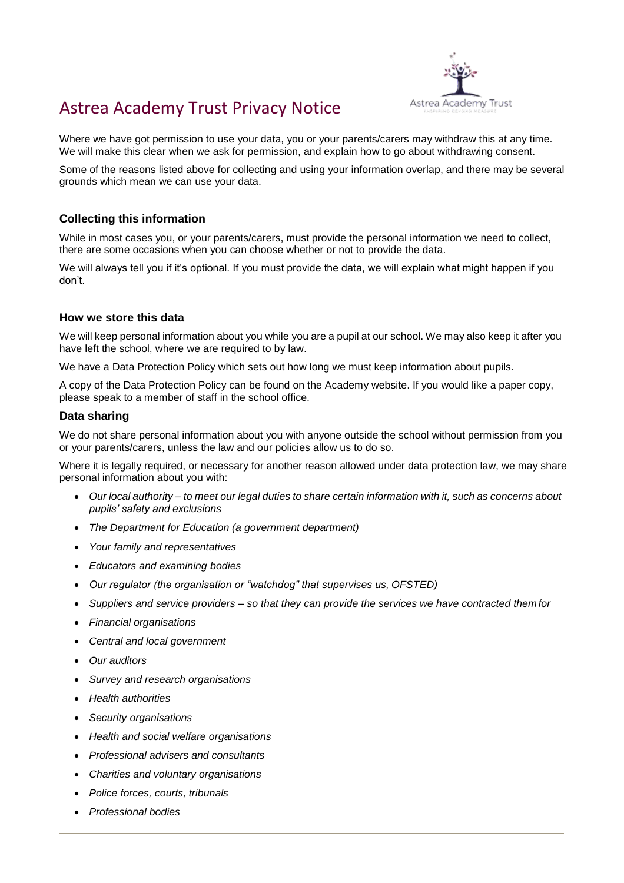

Where we have got permission to use your data, you or your parents/carers may withdraw this at any time. We will make this clear when we ask for permission, and explain how to go about withdrawing consent.

Some of the reasons listed above for collecting and using your information overlap, and there may be several grounds which mean we can use your data.

### **Collecting this information**

While in most cases you, or your parents/carers, must provide the personal information we need to collect, there are some occasions when you can choose whether or not to provide the data.

We will always tell you if it's optional. If you must provide the data, we will explain what might happen if you don't.

#### **How we store this data**

We will keep personal information about you while you are a pupil at our school. We may also keep it after you have left the school, where we are required to by law.

We have a Data Protection Policy which sets out how long we must keep information about pupils.

A copy of the Data Protection Policy can be found on the Academy website. If you would like a paper copy, please speak to a member of staff in the school office.

#### **Data sharing**

We do not share personal information about you with anyone outside the school without permission from you or your parents/carers, unless the law and our policies allow us to do so.

Where it is legally required, or necessary for another reason allowed under data protection law, we may share personal information about you with:

- Our local authority to meet our legal duties to share certain information with it, such as concerns about *pupils' safety and exclusions*
- *The Department for Education (a government department)*
- *Your family and representatives*
- *Educators and examining bodies*
- *Our regulator (the organisation or "watchdog" that supervises us, OFSTED)*
- *Suppliers and service providers – so that they can provide the services we have contracted them for*
- *Financial organisations*
- *Central and local government*
- *Our auditors*
- *Survey and research organisations*
- *Health authorities*
- *Security organisations*
- *Health and social welfare organisations*
- *Professional advisers and consultants*
- *Charities and voluntary organisations*
- *Police forces, courts, tribunals*
- *Professional bodies*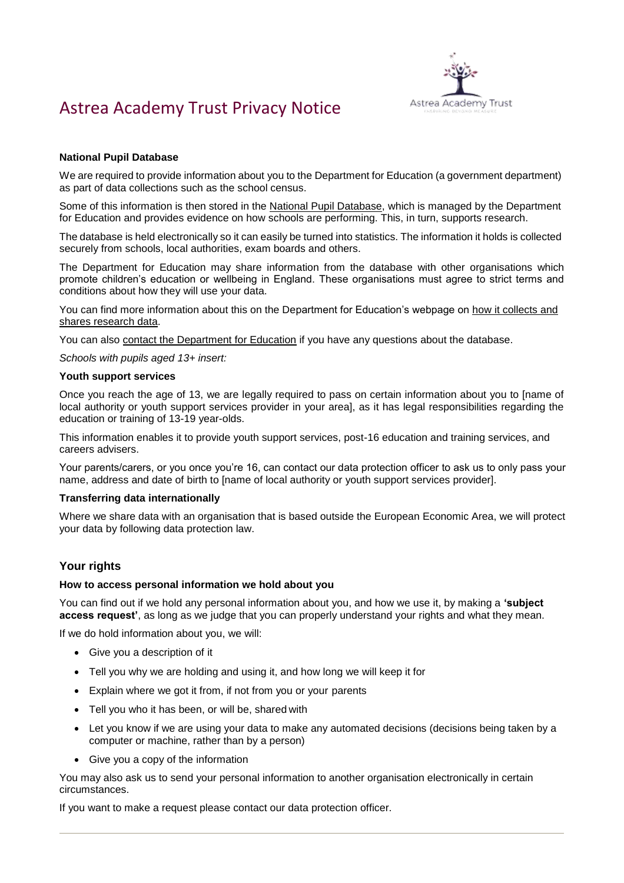

#### **National Pupil Database**

We are required to provide information about you to the Department for Education (a government department) as part of data collections such as the school census.

Some of this information is then stored in the [National Pupil Database, w](https://www.gov.uk/government/publications/national-pupil-database-user-guide-and-supporting-information)hich is managed by the Department for Education and provides evidence on how schools are performing. This, in turn, supports research.

The database is held electronically so it can easily be turned into statistics. The information it holds is collected securely from schools, local authorities, exam boards and others.

The Department for Education may share information from the database with other organisations which promote children's education or wellbeing in England. These organisations must agree to strict terms and conditions about how they will use your data.

You can find more information about this on the Department for Education's webpage on [how it collects and](https://www.gov.uk/data-protection-how-we-collect-and-share-research-data) [shares research data.](https://www.gov.uk/data-protection-how-we-collect-and-share-research-data)

You can also [contact the Department for Education](https://www.gov.uk/contact-dfe) if you have any questions about the database.

*Schools with pupils aged 13+ insert:*

#### **Youth support services**

Once you reach the age of 13, we are legally required to pass on certain information about you to [name of local authority or youth support services provider in your area], as it has legal responsibilities regarding the education or training of 13-19 year-olds.

This information enables it to provide youth support services, post-16 education and training services, and careers advisers.

Your parents/carers, or you once you're 16, can contact our data protection officer to ask us to only pass your name, address and date of birth to [name of local authority or youth support services provider].

#### **Transferring data internationally**

Where we share data with an organisation that is based outside the European Economic Area, we will protect your data by following data protection law.

#### **Your rights**

#### **How to access personal information we hold about you**

You can find out if we hold any personal information about you, and how we use it, by making a **'subject access request'**, as long as we judge that you can properly understand your rights and what they mean.

If we do hold information about you, we will:

- Give you a description of it
- Tell you why we are holding and using it, and how long we will keep it for
- Explain where we got it from, if not from you or your parents
- Tell you who it has been, or will be, shared with
- Let you know if we are using your data to make any automated decisions (decisions being taken by a computer or machine, rather than by a person)
- Give you a copy of the information

You may also ask us to send your personal information to another organisation electronically in certain circumstances.

If you want to make a request please contact our data protection officer.